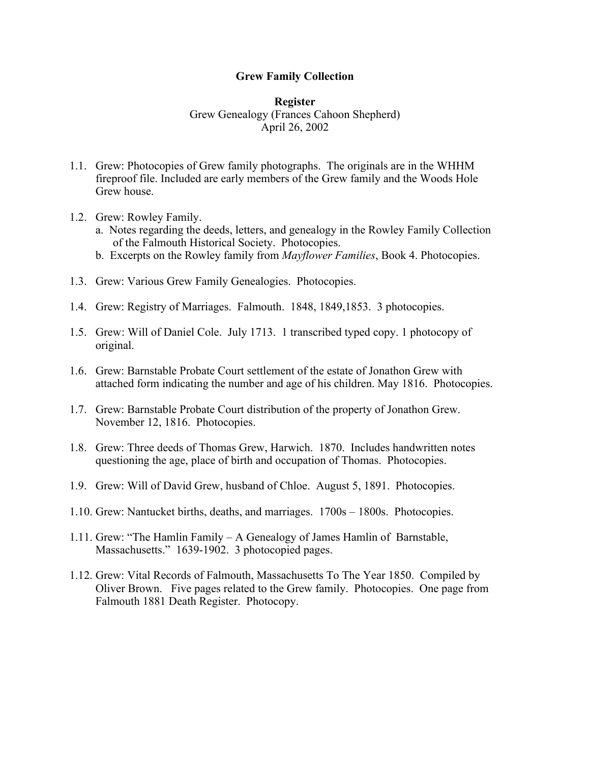## **Grew Family Collection**

## **Register** Grew Genealogy (Frances Cahoon Shepherd) April 26, 2002

- 1.1. Grew: Photocopies of Grew family photographs. The originals are in the WHHM fireproof file. Included are early members of the Grew family and the Woods Hole Grew house.
- 1.2. Grew: Rowley Family.
	- a. Notes regarding the deeds, letters, and genealogy in the Rowley Family Collection of the Falmouth Historical Society. Photocopies.
	- b. Excerpts on the Rowley family from *Mayflower Families*, Book 4. Photocopies.
- 1.3. Grew: Various Grew Family Genealogies. Photocopies.
- 1.4. Grew: Registry of Marriages. Falmouth. 1848, 1849,1853. 3 photocopies.
- 1.5. Grew: Will of Daniel Cole. July 1713. 1 transcribed typed copy. 1 photocopy of original.
- 1.6. Grew: Barnstable Probate Court settlement of the estate of Jonathon Grew with attached form indicating the number and age of his children. May 1816. Photocopies.
- 1.7. Grew: Barnstable Probate Court distribution of the property of Jonathon Grew. November 12, 1816. Photocopies.
- 1.8. Grew: Three deeds of Thomas Grew, Harwich. 1870. Includes handwritten notes questioning the age, place of birth and occupation of Thomas. Photocopies.
- 1.9. Grew: Will of David Grew, husband of Chloe. August 5, 1891. Photocopies.
- 1.10. Grew: Nantucket births, deaths, and marriages. 1700s 1800s. Photocopies.
- 1.11. Grew: "The Hamlin Family A Genealogy of James Hamlin of Barnstable, Massachusetts." 1639-1902. 3 photocopied pages.
- 1.12. Grew: Vital Records of Falmouth, Massachusetts To The Year 1850. Compiled by Oliver Brown. Five pages related to the Grew family. Photocopies. One page from Falmouth 1881 Death Register. Photocopy.